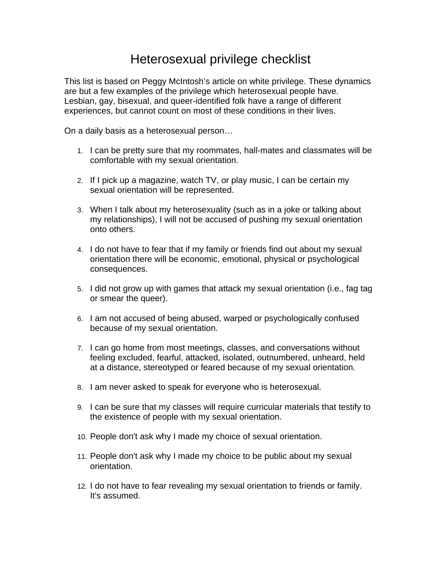## Heterosexual privilege checklist

This list is based on Peggy McIntosh's article on white privilege. These dynamics are but a few examples of the privilege which heterosexual people have. Lesbian, gay, bisexual, and queer-identified folk have a range of different experiences, but cannot count on most of these conditions in their lives.

On a daily basis as a heterosexual person…

- 1. I can be pretty sure that my roommates, hall-mates and classmates will be comfortable with my sexual orientation.
- 2. If I pick up a magazine, watch TV, or play music, I can be certain my sexual orientation will be represented.
- 3. When I talk about my heterosexuality (such as in a joke or talking about my relationships), I will not be accused of pushing my sexual orientation onto others.
- 4. I do not have to fear that if my family or friends find out about my sexual orientation there will be economic, emotional, physical or psychological consequences.
- 5. I did not grow up with games that attack my sexual orientation (i.e., fag tag or smear the queer).
- 6. I am not accused of being abused, warped or psychologically confused because of my sexual orientation.
- 7. I can go home from most meetings, classes, and conversations without feeling excluded, fearful, attacked, isolated, outnumbered, unheard, held at a distance, stereotyped or feared because of my sexual orientation.
- 8. I am never asked to speak for everyone who is heterosexual.
- 9. I can be sure that my classes will require curricular materials that testify to the existence of people with my sexual orientation.
- 10. People don't ask why I made my choice of sexual orientation.
- 11. People don't ask why I made my choice to be public about my sexual orientation.
- 12. I do not have to fear revealing my sexual orientation to friends or family. It's assumed.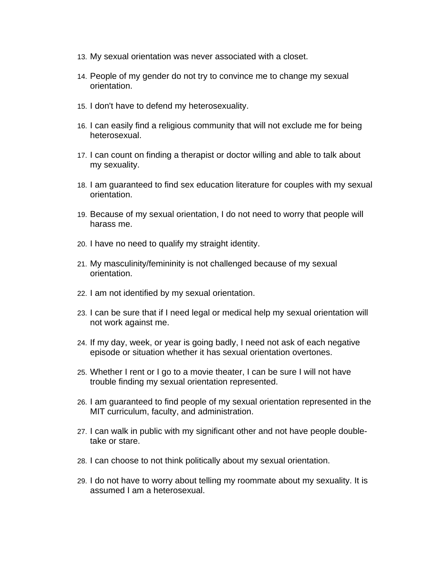- 13. My sexual orientation was never associated with a closet.
- 14. People of my gender do not try to convince me to change my sexual orientation.
- 15. I don't have to defend my heterosexuality.
- 16. I can easily find a religious community that will not exclude me for being heterosexual.
- 17. I can count on finding a therapist or doctor willing and able to talk about my sexuality.
- 18. I am guaranteed to find sex education literature for couples with my sexual orientation.
- 19. Because of my sexual orientation, I do not need to worry that people will harass me.
- 20. I have no need to qualify my straight identity.
- 21. My masculinity/femininity is not challenged because of my sexual orientation.
- 22. I am not identified by my sexual orientation.
- 23. I can be sure that if I need legal or medical help my sexual orientation will not work against me.
- 24. If my day, week, or year is going badly, I need not ask of each negative episode or situation whether it has sexual orientation overtones.
- 25. Whether I rent or I go to a movie theater, I can be sure I will not have trouble finding my sexual orientation represented.
- 26. I am guaranteed to find people of my sexual orientation represented in the MIT curriculum, faculty, and administration.
- 27. I can walk in public with my significant other and not have people doubletake or stare.
- 28. I can choose to not think politically about my sexual orientation.
- 29. I do not have to worry about telling my roommate about my sexuality. It is assumed I am a heterosexual.